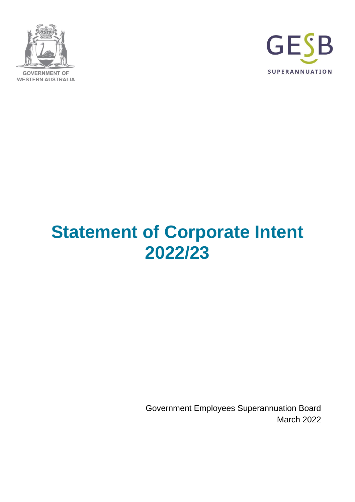



# **Statement of Corporate Intent 2022/23**

Government Employees Superannuation Board March 2022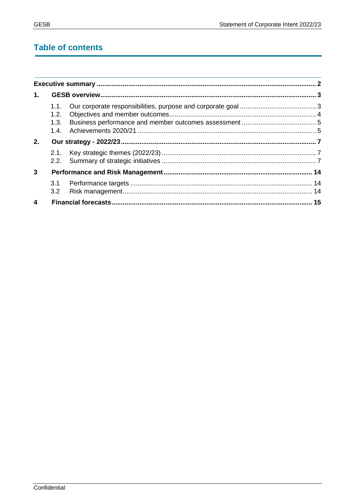# **Table of contents**

| $\mathbf{1}$ .          |                              |  |  |
|-------------------------|------------------------------|--|--|
|                         | 1.1.<br>1.2.<br>1.3.<br>1.4. |  |  |
| 2.                      |                              |  |  |
|                         | 2.1.                         |  |  |
| $\mathbf{3}$            |                              |  |  |
|                         | 3.1<br>3.2                   |  |  |
| $\overline{\mathbf{4}}$ |                              |  |  |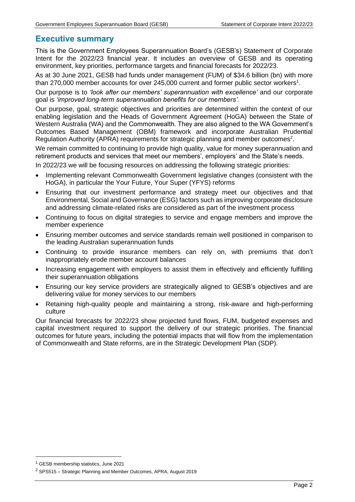# <span id="page-2-0"></span>**Executive summary**

This is the Government Employees Superannuation Board's (GESB's) Statement of Corporate Intent for the 2022/23 financial year. It includes an overview of GESB and its operating environment, key priorities, performance targets and financial forecasts for 2022/23.

As at 30 June 2021, GESB had funds under management (FUM) of \$34.6 billion (bn) with more than 270,000 member accounts for over 245,000 current and former public sector workers<sup>1</sup>.

Our purpose is to *'look after our members' superannuation with excellence'* and our corporate goal is *'improved long-term superannuation benefits for our members'.*

Our purpose, goal, strategic objectives and priorities are determined within the context of our enabling legislation and the Heads of Government Agreement (HoGA) between the State of Western Australia (WA) and the Commonwealth. They are also aligned to the WA Government's Outcomes Based Management (OBM) framework and incorporate Australian Prudential Regulation Authority (APRA) requirements for strategic planning and member outcomes<sup>2</sup>.

We remain committed to continuing to provide high quality, value for money superannuation and retirement products and services that meet our members', employers' and the State's needs.

In 2022/23 we will be focusing resources on addressing the following strategic priorities:

- Implementing relevant Commonwealth Government legislative changes (consistent with the HoGA), in particular the Your Future, Your Super (YFYS) reforms
- Ensuring that our investment performance and strategy meet our objectives and that Environmental, Social and Governance (ESG) factors such as improving corporate disclosure and addressing climate-related risks are considered as part of the investment process
- Continuing to focus on digital strategies to service and engage members and improve the member experience
- Ensuring member outcomes and service standards remain well positioned in comparison to the leading Australian superannuation funds
- Continuing to provide insurance members can rely on, with premiums that don't inappropriately erode member account balances
- Increasing engagement with employers to assist them in effectively and efficiently fulfilling their superannuation obligations
- Ensuring our key service providers are strategically aligned to GESB's objectives and are delivering value for money services to our members
- Retaining high-quality people and maintaining a strong, risk-aware and high-performing culture

Our financial forecasts for 2022/23 show projected fund flows, FUM, budgeted expenses and capital investment required to support the delivery of our strategic priorities. The financial outcomes for future years, including the potential impacts that will flow from the implementation of Commonwealth and State reforms, are in the Strategic Development Plan (SDP).

<sup>1</sup> GESB membership statistics, June 2021

<sup>2</sup> SPS515 – Strategic Planning and Member Outcomes, APRA, August 2019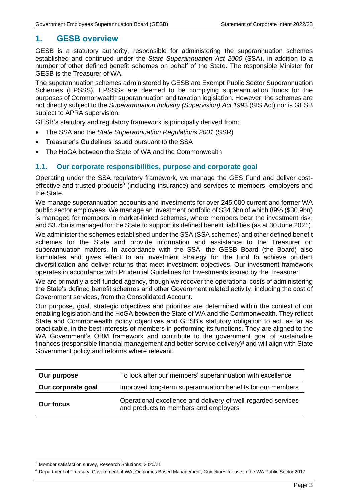# <span id="page-3-0"></span>**1. GESB overview**

GESB is a statutory authority, responsible for administering the superannuation schemes established and continued under the *State Superannuation Act 2000* (SSA), in addition to a number of other defined benefit schemes on behalf of the State. The responsible Minister for GESB is the Treasurer of WA.

The superannuation schemes administered by GESB are Exempt Public Sector Superannuation Schemes (EPSSS). EPSSSs are deemed to be complying superannuation funds for the purposes of Commonwealth superannuation and taxation legislation. However, the schemes are not directly subject to the *Superannuation Industry (Supervision) Act 199*3 (SIS Act) nor is GESB subject to APRA supervision.

GESB's statutory and regulatory framework is principally derived from:

- The SSA and the *State Superannuation Regulations 2001* (SSR)
- Treasurer's Guidelines issued pursuant to the SSA
- The HoGA between the State of WA and the Commonwealth

# <span id="page-3-1"></span>**1.1. Our corporate responsibilities, purpose and corporate goal**

Operating under the SSA regulatory framework, we manage the GES Fund and deliver costeffective and trusted products<sup>3</sup> (including insurance) and services to members, employers and the State.

We manage superannuation accounts and investments for over 245,000 current and former WA public sector employees. We manage an investment portfolio of \$34.6bn of which 89% (\$30.9bn) is managed for members in market-linked schemes, where members bear the investment risk, and \$3.7bn is managed for the State to support its defined benefit liabilities (as at 30 June 2021).

We administer the schemes established under the SSA (SSA schemes) and other defined benefit schemes for the State and provide information and assistance to the Treasurer on superannuation matters. In accordance with the SSA, the GESB Board (the Board) also formulates and gives effect to an investment strategy for the fund to achieve prudent diversification and deliver returns that meet investment objectives. Our investment framework operates in accordance with Prudential Guidelines for Investments issued by the Treasurer.

We are primarily a self-funded agency, though we recover the operational costs of administering the State's defined benefit schemes and other Government related activity, including the cost of Government services, from the Consolidated Account.

Our purpose, goal, strategic objectives and priorities are determined within the context of our enabling legislation and the HoGA between the State of WA and the Commonwealth. They reflect State and Commonwealth policy objectives and GESB's statutory obligation to act, as far as practicable, in the best interests of members in performing its functions. They are aligned to the WA Government's OBM framework and contribute to the government goal of sustainable finances (responsible financial management and better service delivery)<sup>4</sup> and will align with State Government policy and reforms where relevant.

| Our purpose        | To look after our members' superannuation with excellence                                              |  |
|--------------------|--------------------------------------------------------------------------------------------------------|--|
| Our corporate goal | Improved long-term superannuation benefits for our members                                             |  |
| <b>Our focus</b>   | Operational excellence and delivery of well-regarded services<br>and products to members and employers |  |

<sup>3</sup> Member satisfaction survey, Research Solutions, 2020/21

<sup>4</sup> Department of Treasury, Government of WA; Outcomes Based Management; Guidelines for use in the WA Public Sector 2017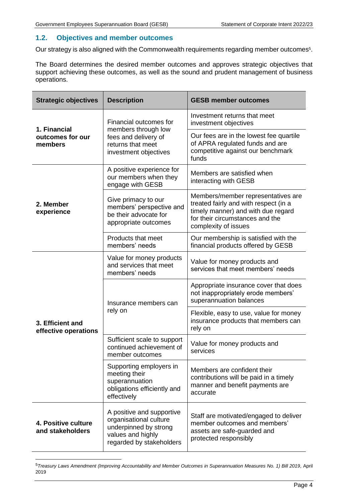# <span id="page-4-0"></span>**1.2. Objectives and member outcomes**

Our strategy is also aligned with the Commonwealth requirements regarding member outcomes<sup>5</sup>.

The Board determines the desired member outcomes and approves strategic objectives that support achieving these outcomes, as well as the sound and prudent management of business operations.

| <b>Strategic objectives</b>              | <b>Description</b>                                                                                                            | <b>GESB member outcomes</b>                                                                                                                                                  |  |
|------------------------------------------|-------------------------------------------------------------------------------------------------------------------------------|------------------------------------------------------------------------------------------------------------------------------------------------------------------------------|--|
| 1. Financial                             | Financial outcomes for<br>members through low                                                                                 | Investment returns that meet<br>investment objectives                                                                                                                        |  |
| outcomes for our<br>members              | fees and delivery of<br>returns that meet<br>investment objectives                                                            | Our fees are in the lowest fee quartile<br>of APRA regulated funds and are<br>competitive against our benchmark<br>funds                                                     |  |
|                                          | A positive experience for<br>our members when they<br>engage with GESB                                                        | Members are satisfied when<br>interacting with GESB                                                                                                                          |  |
| 2. Member<br>experience                  | Give primacy to our<br>members' perspective and<br>be their advocate for<br>appropriate outcomes                              | Members/member representatives are<br>treated fairly and with respect (in a<br>timely manner) and with due regard<br>for their circumstances and the<br>complexity of issues |  |
|                                          | Products that meet<br>members' needs                                                                                          | Our membership is satisfied with the<br>financial products offered by GESB                                                                                                   |  |
|                                          | Value for money products<br>and services that meet<br>members' needs                                                          | Value for money products and<br>services that meet members' needs                                                                                                            |  |
|                                          | Insurance members can<br>rely on                                                                                              | Appropriate insurance cover that does<br>not inappropriately erode members'<br>superannuation balances                                                                       |  |
| 3. Efficient and<br>effective operations |                                                                                                                               | Flexible, easy to use, value for money<br>insurance products that members can<br>rely on                                                                                     |  |
|                                          | Sufficient scale to support<br>continued achievement of<br>member outcomes                                                    | Value for money products and<br>services                                                                                                                                     |  |
|                                          | Supporting employers in<br>meeting their<br>superannuation<br>obligations efficiently and<br>effectively                      | Members are confident their<br>contributions will be paid in a timely<br>manner and benefit payments are<br>accurate                                                         |  |
| 4. Positive culture<br>and stakeholders  | A positive and supportive<br>organisational culture<br>underpinned by strong<br>values and highly<br>regarded by stakeholders | Staff are motivated/engaged to deliver<br>member outcomes and members'<br>assets are safe-guarded and<br>protected responsibly                                               |  |

<sup>&</sup>lt;sup>5</sup> Treasury Laws Amendment (Improving Accountability and Member Outcomes in Superannuation Measures No. 1) Bill 2019, April 2019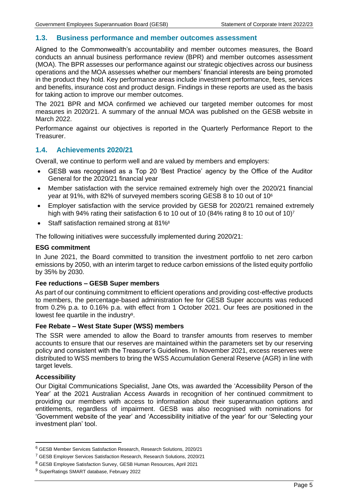# <span id="page-5-0"></span>**1.3. Business performance and member outcomes assessment**

Aligned to the Commonwealth's accountability and member outcomes measures, the Board conducts an annual business performance review (BPR) and member outcomes assessment (MOA). The BPR assesses our performance against our strategic objectives across our business operations and the MOA assesses whether our members' financial interests are being promoted in the product they hold. Key performance areas include investment performance, fees, services and benefits, insurance cost and product design. Findings in these reports are used as the basis for taking action to improve our member outcomes.

The 2021 BPR and MOA confirmed we achieved our targeted member outcomes for most measures in 2020/21. A summary of the annual MOA was published on the GESB website in March 2022.

Performance against our objectives is reported in the Quarterly Performance Report to the Treasurer.

# <span id="page-5-1"></span>**1.4. Achievements 2020/21**

Overall, we continue to perform well and are valued by members and employers:

- GESB was recognised as a Top 20 'Best Practice' agency by the Office of the Auditor General for the 2020/21 financial year
- Member satisfaction with the service remained extremely high over the 2020/21 financial year at 91%, with 82% of surveyed members scoring GESB 8 to 10 out of 10<sup>6</sup>
- Employer satisfaction with the service provided by GESB for 2020/21 remained extremely high with 94% rating their satisfaction 6 to 10 out of 10 (84% rating 8 to 10 out of 10)<sup>7</sup>
- Staff satisfaction remained strong at 81%<sup>8</sup>

The following initiatives were successfully implemented during 2020/21:

#### **ESG commitment**

In June 2021, the Board committed to transition the investment portfolio to net zero carbon emissions by 2050, with an interim target to reduce carbon emissions of the listed equity portfolio by 35% by 2030.

#### **Fee reductions – GESB Super members**

As part of our continuing commitment to efficient operations and providing cost-effective products to members, the percentage-based administration fee for GESB Super accounts was reduced from 0.2% p.a. to 0.16% p.a. with effect from 1 October 2021. Our fees are positioned in the lowest fee quartile in the industry<sup>9</sup>.

#### **Fee Rebate – West State Super (WSS) members**

The SSR were amended to allow the Board to transfer amounts from reserves to member accounts to ensure that our reserves are maintained within the parameters set by our reserving policy and consistent with the Treasurer's Guidelines. In November 2021, excess reserves were distributed to WSS members to bring the WSS Accumulation General Reserve (AGR) in line with target levels.

# **Accessibility**

Our Digital Communications Specialist, Jane Ots, was awarded the 'Accessibility Person of the Year' at the 2021 Australian Access Awards in recognition of her continued commitment to providing our members with access to information about their superannuation options and entitlements, regardless of impairment. GESB was also recognised with nominations for 'Government website of the year' and 'Accessibility initiative of the year' for our ['Selecting your](https://www.gesb.wa.gov.au/members/stand-alone-pages/selecting-your-investment-plan-tool)  [investment plan' tool.](https://www.gesb.wa.gov.au/members/stand-alone-pages/selecting-your-investment-plan-tool)

<sup>6</sup> GESB Member Services Satisfaction Research, Research Solutions, 2020/21

<sup>7</sup> GESB Employer Services Satisfaction Research, Research Solutions, 2020/21

<sup>8</sup> GESB Employee Satisfaction Survey, GESB Human Resources, April 2021

<sup>9</sup> SuperRatings SMART database, February 2022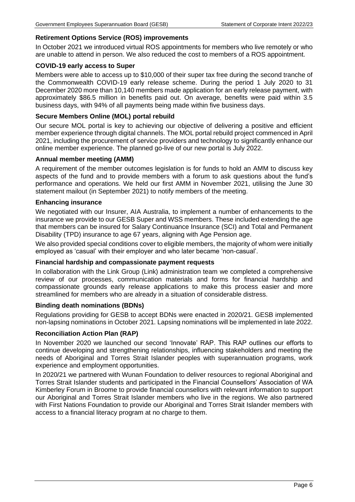# **Retirement Options Service (ROS) improvements**

In October 2021 we introduced virtual ROS appointments for members who live remotely or who are unable to attend in person. We also reduced the cost to members of a ROS appointment.

## **COVID-19 early access to Super**

Members were able to access up to \$10,000 of their super tax free during the second tranche of the Commonwealth COVID-19 early release scheme. During the period 1 July 2020 to 31 December 2020 more than 10,140 members made application for an early release payment, with approximately \$86.5 million in benefits paid out. On average, benefits were paid within 3.5 business days, with 94% of all payments being made within five business days.

# **Secure Members Online (MOL) portal rebuild**

Our secure MOL portal is key to achieving our objective of delivering a positive and efficient member experience through digital channels. The MOL portal rebuild project commenced in April 2021, including the procurement of service providers and technology to significantly enhance our online member experience. The planned go-live of our new portal is July 2022.

# **Annual member meeting (AMM)**

A requirement of the member outcomes legislation is for funds to hold an AMM to discuss key aspects of the fund and to provide members with a forum to ask questions about the fund's performance and operations. We held our first AMM in November 2021, utilising the June 30 statement mailout (in September 2021) to notify members of the meeting.

#### **Enhancing insurance**

We negotiated with our Insurer, AIA Australia, to implement a number of enhancements to the insurance we provide to our GESB Super and WSS members. These included extending the age that members can be insured for Salary Continuance Insurance (SCI) and Total and Permanent Disability (TPD) insurance to age 67 years, aligning with Age Pension age.

We also provided special conditions cover to eligible members, the majority of whom were initially employed as 'casual' with their employer and who later became 'non-casual'.

#### **Financial hardship and compassionate payment requests**

In collaboration with the Link Group (Link) administration team we completed a comprehensive review of our processes, communication materials and forms for financial hardship and compassionate grounds early release applications to make this process easier and more streamlined for members who are already in a situation of considerable distress.

#### **Binding death nominations (BDNs)**

Regulations providing for GESB to accept BDNs were enacted in 2020/21. GESB implemented non-lapsing nominations in October 2021. Lapsing nominations will be implemented in late 2022.

# **Reconciliation Action Plan (RAP)**

In November 2020 we launched our second 'Innovate' RAP. This RAP outlines our efforts to continue developing and strengthening relationships, influencing stakeholders and meeting the needs of Aboriginal and Torres Strait Islander peoples with superannuation programs, work experience and employment opportunities.

In 2020/21 we partnered with Wunan Foundation to deliver resources to regional Aboriginal and Torres Strait Islander students and participated in the Financial Counsellors' Association of WA Kimberley Forum in Broome to provide financial counsellors with relevant information to support our Aboriginal and Torres Strait Islander members who live in the regions. We also partnered with First Nations Foundation to provide our Aboriginal and Torres Strait Islander members with access to a financial literacy program at no charge to them.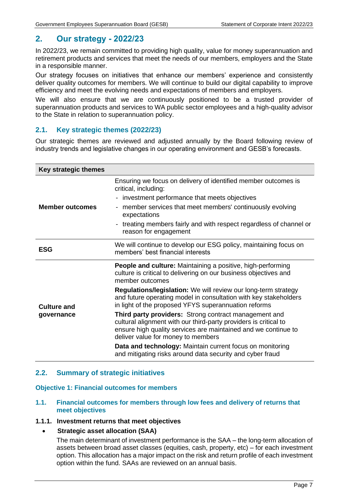# <span id="page-7-0"></span>**2. Our strategy - 2022/23**

In 2022/23, we remain committed to providing high quality, value for money superannuation and retirement products and services that meet the needs of our members, employers and the State in a responsible manner.

Our strategy focuses on initiatives that enhance our members' experience and consistently deliver quality outcomes for members. We will continue to build our digital capability to improve efficiency and meet the evolving needs and expectations of members and employers.

We will also ensure that we are continuously positioned to be a trusted provider of superannuation products and services to WA public sector employees and a high-quality advisor to the State in relation to superannuation policy.

# <span id="page-7-1"></span>**2.1. Key strategic themes (2022/23)**

Our strategic themes are reviewed and adjusted annually by the Board following review of industry trends and legislative changes in our operating environment and GESB's forecasts.

| Key strategic themes   |                                                                                                                                                                                                                                   |  |  |  |
|------------------------|-----------------------------------------------------------------------------------------------------------------------------------------------------------------------------------------------------------------------------------|--|--|--|
|                        | Ensuring we focus on delivery of identified member outcomes is<br>critical, including:                                                                                                                                            |  |  |  |
|                        | investment performance that meets objectives<br>$\qquad \qquad \blacksquare$                                                                                                                                                      |  |  |  |
| <b>Member outcomes</b> | member services that meet members' continuously evolving<br>$\overline{\phantom{0}}$<br>expectations                                                                                                                              |  |  |  |
|                        | treating members fairly and with respect regardless of channel or<br>$\qquad \qquad \blacksquare$<br>reason for engagement                                                                                                        |  |  |  |
| <b>ESG</b>             | We will continue to develop our ESG policy, maintaining focus on<br>members' best financial interests                                                                                                                             |  |  |  |
|                        | <b>People and culture:</b> Maintaining a positive, high-performing<br>culture is critical to delivering on our business objectives and<br>member outcomes                                                                         |  |  |  |
| <b>Culture and</b>     | <b>Regulations/legislation:</b> We will review our long-term strategy<br>and future operating model in consultation with key stakeholders<br>in light of the proposed YFYS superannuation reforms                                 |  |  |  |
| governance             | Third party providers: Strong contract management and<br>cultural alignment with our third-party providers is critical to<br>ensure high quality services are maintained and we continue to<br>deliver value for money to members |  |  |  |
|                        | Data and technology: Maintain current focus on monitoring<br>and mitigating risks around data security and cyber fraud                                                                                                            |  |  |  |

# <span id="page-7-2"></span>**2.2. Summary of strategic initiatives**

#### **Objective 1: Financial outcomes for members**

# **1.1. Financial outcomes for members through low fees and delivery of returns that meet objectives**

## **1.1.1. Investment returns that meet objectives**

# • **Strategic asset allocation (SAA)**

The main determinant of investment performance is the SAA – the long-term allocation of assets between broad asset classes (equities, cash, property, etc) – for each investment option. This allocation has a major impact on the risk and return profile of each investment option within the fund. SAAs are reviewed on an annual basis.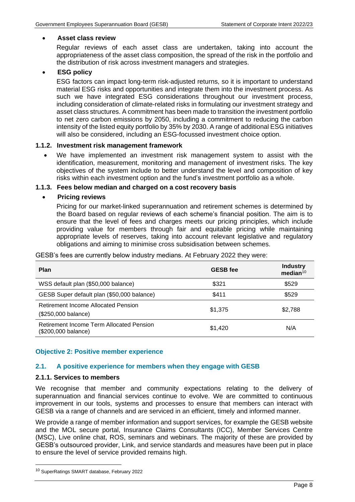# • **Asset class review**

Regular reviews of each asset class are undertaken, taking into account the appropriateness of the asset class composition, the spread of the risk in the portfolio and the distribution of risk across investment managers and strategies.

# • **ESG policy**

ESG factors can impact long-term risk-adjusted returns, so it is important to understand material ESG risks and opportunities and integrate them into the investment process. As such we have integrated ESG considerations throughout our investment process, including consideration of climate-related risks in formulating our investment strategy and asset class structures. A commitment has been made to transition the investment portfolio to net zero carbon emissions by 2050, including a commitment to reducing the carbon intensity of the listed equity portfolio by 35% by 2030. A range of additional ESG initiatives will also be considered, including an ESG-focussed investment choice option.

# **1.1.2. Investment risk management framework**

• We have implemented an investment risk management system to assist with the identification, measurement, monitoring and management of investment risks. The key objectives of the system include to better understand the level and composition of key risks within each investment option and the fund's investment portfolio as a whole.

# **1.1.3. Fees below median and charged on a cost recovery basis**

# • **Pricing reviews**

Pricing for our market-linked superannuation and retirement schemes is determined by the Board based on regular reviews of each scheme's financial position. The aim is to ensure that the level of fees and charges meets our pricing principles, which include providing value for members through fair and equitable pricing while maintaining appropriate levels of reserves, taking into account relevant legislative and regulatory obligations and aiming to minimise cross subsidisation between schemes.

| <b>Plan</b>                                                     | <b>GESB</b> fee | <b>Industry</b><br>median <sup>10</sup> |
|-----------------------------------------------------------------|-----------------|-----------------------------------------|
| WSS default plan (\$50,000 balance)                             | \$321           | \$529                                   |
| GESB Super default plan (\$50,000 balance)                      | \$411           | \$529                                   |
| Retirement Income Allocated Pension<br>(\$250,000 balance)      | \$1,375         | \$2,788                                 |
| Retirement Income Term Allocated Pension<br>(\$200,000 balance) | \$1,420         | N/A                                     |

GESB's fees are currently below industry medians. At February 2022 they were:

# **Objective 2: Positive member experience**

# **2.1. A positive experience for members when they engage with GESB**

# **2.1.1. Services to members**

We recognise that member and community expectations relating to the delivery of superannuation and financial services continue to evolve. We are committed to continuous improvement in our tools, systems and processes to ensure that members can interact with GESB via a range of channels and are serviced in an efficient, timely and informed manner.

We provide a range of member information and support services, for example the GESB website and the MOL secure portal, Insurance Claims Consultants (ICC), Member Services Centre (MSC), Live online chat, ROS, seminars and webinars. The majority of these are provided by GESB's outsourced provider, Link, and service standards and measures have been put in place to ensure the level of service provided remains high.

<sup>10</sup> SuperRatings SMART database, February 2022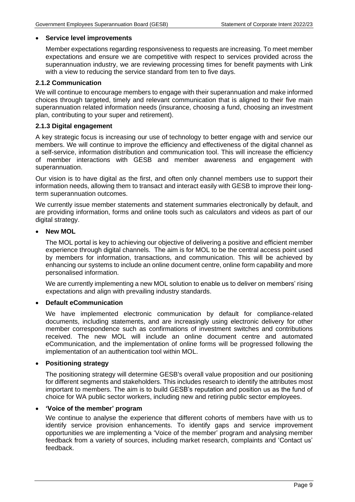#### • **Service level improvements**

Member expectations regarding responsiveness to requests are increasing. To meet member expectations and ensure we are competitive with respect to services provided across the superannuation industry, we are reviewing processing times for benefit payments with Link with a view to reducing the service standard from ten to five days.

# **2.1.2 Communication**

We will continue to encourage members to engage with their superannuation and make informed choices through targeted, timely and relevant communication that is aligned to their five main superannuation related information needs (insurance, choosing a fund, choosing an investment plan, contributing to your super and retirement).

# **2.1.3 Digital engagement**

A key strategic focus is increasing our use of technology to better engage with and service our members. We will continue to improve the efficiency and effectiveness of the digital channel as a self-service, information distribution and communication tool. This will increase the efficiency of member interactions with GESB and member awareness and engagement with superannuation.

Our vision is to have digital as the first, and often only channel members use to support their information needs, allowing them to transact and interact easily with GESB to improve their longterm superannuation outcomes.

We currently issue member statements and statement summaries electronically by default, and are providing information, forms and online tools such as calculators and videos as part of our digital strategy.

# • **New MOL**

The MOL portal is key to achieving our objective of delivering a positive and efficient member experience through digital channels. The aim is for MOL to be the central access point used by members for information, transactions, and communication. This will be achieved by enhancing our systems to include an online document centre, online form capability and more personalised information.

We are currently implementing a new MOL solution to enable us to deliver on members' rising expectations and align with prevailing industry standards.

# • **Default eCommunication**

We have implemented electronic communication by default for compliance-related documents, including statements, and are increasingly using electronic delivery for other member correspondence such as confirmations of investment switches and contributions received. The new MOL will include an online document centre and automated eCommunication, and the implementation of online forms will be progressed following the implementation of an authentication tool within MOL.

#### • **Positioning strategy**

The positioning strategy will determine GESB's overall value proposition and our positioning for different segments and stakeholders. This includes research to identify the attributes most important to members. The aim is to build GESB's reputation and position us as the fund of choice for WA public sector workers, including new and retiring public sector employees.

# • **'Voice of the member' program**

We continue to analyse the experience that different cohorts of members have with us to identify service provision enhancements. To identify gaps and service improvement opportunities we are implementing a 'Voice of the member' program and analysing member feedback from a variety of sources, including market research, complaints and 'Contact us' feedback.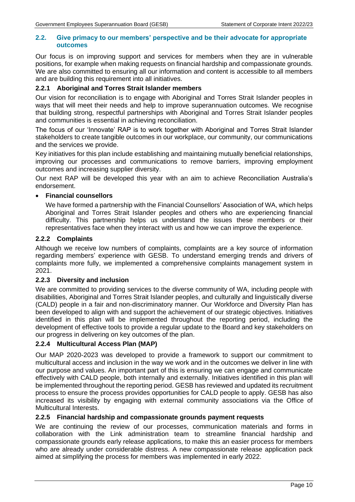# **2.2. Give primacy to our members' perspective and be their advocate for appropriate outcomes**

Our focus is on improving support and services for members when they are in vulnerable positions, for example when making requests on financial hardship and compassionate grounds. We are also committed to ensuring all our information and content is accessible to all members and are building this requirement into all initiatives.

# **2.2.1 Aboriginal and Torres Strait Islander members**

Our vision for reconciliation is to engage with Aboriginal and Torres Strait Islander peoples in ways that will meet their needs and help to improve superannuation outcomes. We recognise that building strong, respectful partnerships with Aboriginal and Torres Strait Islander peoples and communities is essential in achieving reconciliation.

The focus of our 'Innovate' RAP is to work together with Aboriginal and Torres Strait Islander stakeholders to create tangible outcomes in our workplace, our community, our communications and the services we provide.

Key initiatives for this plan include establishing and maintaining mutually beneficial relationships, improving our processes and communications to remove barriers, improving employment outcomes and increasing supplier diversity.

Our next RAP will be developed this year with an aim to achieve Reconciliation Australia's endorsement.

# • **Financial counsellors**

We have formed a partnership with the Financial Counsellors' Association of WA, which helps Aboriginal and Torres Strait Islander peoples and others who are experiencing financial difficulty. This partnership helps us understand the issues these members or their representatives face when they interact with us and how we can improve the experience.

# **2.2.2 Complaints**

Although we receive low numbers of complaints, complaints are a key source of information regarding members' experience with GESB. To understand emerging trends and drivers of complaints more fully, we implemented a comprehensive complaints management system in 2021.

# **2.2.3 Diversity and inclusion**

We are committed to providing services to the diverse community of WA, including people with disabilities, Aboriginal and Torres Strait Islander peoples, and culturally and linguistically diverse (CALD) people in a fair and non-discriminatory manner. Our Workforce and Diversity Plan has been developed to align with and support the achievement of our strategic objectives. Initiatives identified in this plan will be implemented throughout the reporting period, including the development of effective tools to provide a regular update to the Board and key stakeholders on our progress in delivering on key outcomes of the plan.

# **2.2.4 Multicultural Access Plan (MAP)**

Our MAP 2020-2023 was developed to provide a framework to support our commitment to multicultural access and inclusion in the way we work and in the outcomes we deliver in line with our purpose and values. An important part of this is ensuring we can engage and communicate effectively with CALD people, both internally and externally. Initiatives identified in this plan will be implemented throughout the reporting period. GESB has reviewed and updated its recruitment process to ensure the process provides opportunities for CALD people to apply. GESB has also increased its visibility by engaging with external community associations via the Office of Multicultural Interests.

# **2.2.5 Financial hardship and compassionate grounds payment requests**

We are continuing the review of our processes, communication materials and forms in collaboration with the Link administration team to streamline financial hardship and compassionate grounds early release applications, to make this an easier process for members who are already under considerable distress. A new compassionate release application pack aimed at simplifying the process for members was implemented in early 2022.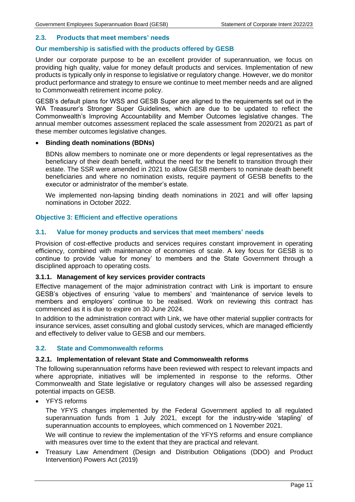# **2.3. Products that meet members' needs**

# **Our membership is satisfied with the products offered by GESB**

Under our corporate purpose to be an excellent provider of superannuation, we focus on providing high quality, value for money default products and services. Implementation of new products is typically only in response to legislative or regulatory change. However, we do monitor product performance and strategy to ensure we continue to meet member needs and are aligned to Commonwealth retirement income policy.

GESB's default plans for WSS and GESB Super are aligned to the requirements set out in the WA Treasurer's Stronger Super Guidelines, which are due to be updated to reflect the Commonwealth's Improving Accountability and Member Outcomes legislative changes. The annual member outcomes assessment replaced the scale assessment from 2020/21 as part of these member outcomes legislative changes.

#### • **Binding death nominations (BDNs)**

BDNs allow members to nominate one or more dependents or legal representatives as the beneficiary of their death benefit, without the need for the benefit to transition through their estate. The SSR were amended in 2021 to allow GESB members to nominate death benefit beneficiaries and where no nomination exists, require payment of GESB benefits to the executor or administrator of the member's estate.

We implemented non-lapsing binding death nominations in 2021 and will offer lapsing nominations in October 2022.

#### **Objective 3: Efficient and effective operations**

# **3.1. Value for money products and services that meet members' needs**

Provision of cost-effective products and services requires constant improvement in operating efficiency, combined with maintenance of economies of scale. A key focus for GESB is to continue to provide 'value for money' to members and the State Government through a disciplined approach to operating costs.

#### **3.1.1. Management of key services provider contracts**

Effective management of the major administration contract with Link is important to ensure GESB's objectives of ensuring 'value to members' and 'maintenance of service levels to members and employers' continue to be realised. Work on reviewing this contract has commenced as it is due to expire on 30 June 2024.

In addition to the administration contract with Link, we have other material supplier contracts for insurance services, asset consulting and global custody services, which are managed efficiently and effectively to deliver value to GESB and our members.

#### **3.2. State and Commonwealth reforms**

#### **3.2.1. Implementation of relevant State and Commonwealth reforms**

The following superannuation reforms have been reviewed with respect to relevant impacts and where appropriate, initiatives will be implemented in response to the reforms. Other Commonwealth and State legislative or regulatory changes will also be assessed regarding potential impacts on GESB.

YFYS reforms

The YFYS changes implemented by the Federal Government applied to all regulated superannuation funds from 1 July 2021, except for the industry-wide 'stapling' of superannuation accounts to employees, which commenced on 1 November 2021.

We will continue to review the implementation of the YFYS reforms and ensure compliance with measures over time to the extent that they are practical and relevant.

• Treasury Law Amendment (Design and Distribution Obligations (DDO) and Product Intervention) Powers Act (2019)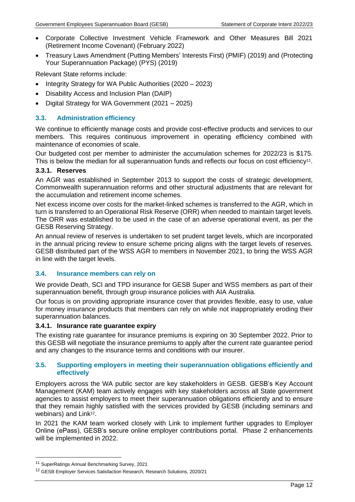- Corporate Collective Investment Vehicle Framework and Other Measures Bill 2021 (Retirement Income Covenant) (February 2022)
- Treasury Laws Amendment (Putting Members' Interests First) (PMIF) (2019) and (Protecting Your Superannuation Package) (PYS) (2019)

Relevant State reforms include:

- Integrity Strategy for WA Public Authorities (2020 2023)
- Disability Access and Inclusion Plan (DAIP)
- Digital Strategy for WA Government (2021 2025)

# **3.3. Administration efficiency**

We continue to efficiently manage costs and provide cost-effective products and services to our members. This requires continuous improvement in operating efficiency combined with maintenance of economies of scale.

Our budgeted cost per member to administer the accumulation schemes for 2022/23 is \$175. This is below the median for all superannuation funds and reflects our focus on cost efficiency<sup>11</sup>.

# **3.3.1. Reserves**

An AGR was established in September 2013 to support the costs of strategic development, Commonwealth superannuation reforms and other structural adjustments that are relevant for the accumulation and retirement income schemes.

Net excess income over costs for the market-linked schemes is transferred to the AGR, which in turn is transferred to an Operational Risk Reserve (ORR) when needed to maintain target levels. The ORR was established to be used in the case of an adverse operational event, as per the GESB Reserving Strategy.

An annual review of reserves is undertaken to set prudent target levels, which are incorporated in the annual pricing review to ensure scheme pricing aligns with the target levels of reserves. GESB distributed part of the WSS AGR to members in November 2021, to bring the WSS AGR in line with the target levels.

# **3.4. Insurance members can rely on**

We provide Death, SCI and TPD insurance for GESB Super and WSS members as part of their superannuation benefit, through group insurance policies with AIA Australia.

Our focus is on providing appropriate insurance cover that provides flexible, easy to use, value for money insurance products that members can rely on while not inappropriately eroding their superannuation balances.

#### **3.4.1. Insurance rate guarantee expiry**

The existing rate guarantee for insurance premiums is expiring on 30 September 2022. Prior to this GESB will negotiate the insurance premiums to apply after the current rate guarantee period and any changes to the insurance terms and conditions with our insurer.

# **3.5. Supporting employers in meeting their superannuation obligations efficiently and effectively**

Employers across the WA public sector are key stakeholders in GESB. GESB's Key Account Management (KAM) team actively engages with key stakeholders across all State government agencies to assist employers to meet their superannuation obligations efficiently and to ensure that they remain highly satisfied with the services provided by GESB (including seminars and webinars) and Link<sup>12</sup>.

In 2021 the KAM team worked closely with Link to implement further upgrades to Employer Online (ePass), GESB's secure online employer contributions portal. Phase 2 enhancements will be implemented in 2022.

<sup>11</sup> SuperRatings Annual Benchmarking Survey, 2021

<sup>&</sup>lt;sup>12</sup> GESB Employer Services Satisfaction Research, Research Solutions, 2020/21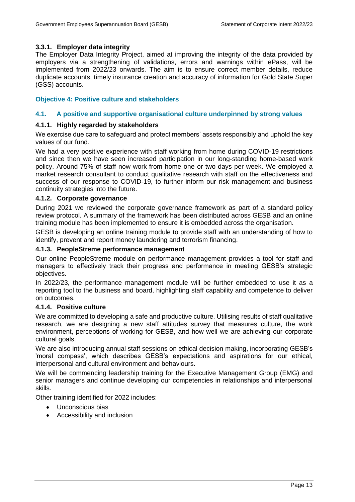# **3.3.1. Employer data integrity**

The Employer Data Integrity Project, aimed at improving the integrity of the data provided by employers via a strengthening of validations, errors and warnings within ePass, will be implemented from 2022/23 onwards. The aim is to ensure correct member details, reduce duplicate accounts, timely insurance creation and accuracy of information for Gold State Super (GSS) accounts.

# **Objective 4: Positive culture and stakeholders**

# **4.1. A positive and supportive organisational culture underpinned by strong values**

# **4.1.1. Highly regarded by stakeholders**

We exercise due care to safeguard and protect members' assets responsibly and uphold the key values of our fund.

We had a very positive experience with staff working from home during COVID-19 restrictions and since then we have seen increased participation in our long-standing home-based work policy. Around 75% of staff now work from home one or two days per week. We employed a market research consultant to conduct qualitative research with staff on the effectiveness and success of our response to COVID-19, to further inform our risk management and business continuity strategies into the future.

#### **4.1.2. Corporate governance**

During 2021 we reviewed the corporate governance framework as part of a standard policy review protocol. A summary of the framework has been distributed across GESB and an online training module has been implemented to ensure it is embedded across the organisation.

GESB is developing an online training module to provide staff with an understanding of how to identify, prevent and report money laundering and terrorism financing.

#### **4.1.3. PeopleStreme performance management**

Our online PeopleStreme module on performance management provides a tool for staff and managers to effectively track their progress and performance in meeting GESB's strategic objectives.

In 2022/23, the performance management module will be further embedded to use it as a reporting tool to the business and board, highlighting staff capability and competence to deliver on outcomes.

#### **4.1.4. Positive culture**

We are committed to developing a safe and productive culture. Utilising results of staff qualitative research, we are designing a new staff attitudes survey that measures culture, the work environment, perceptions of working for GESB, and how well we are achieving our corporate cultural goals.

We are also introducing annual staff sessions on ethical decision making, incorporating GESB's 'moral compass', which describes GESB's expectations and aspirations for our ethical, interpersonal and cultural environment and behaviours.

We will be commencing leadership training for the Executive Management Group (EMG) and senior managers and continue developing our competencies in relationships and interpersonal skills.

Other training identified for 2022 includes:

- Unconscious bias
- Accessibility and inclusion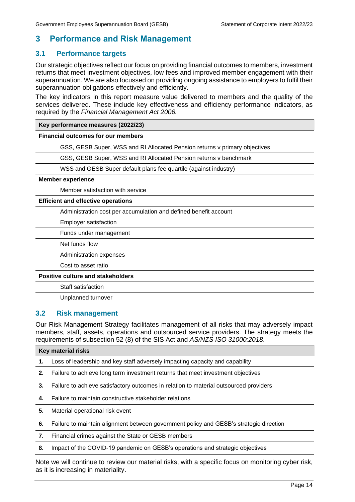# <span id="page-14-0"></span>**3 Performance and Risk Management**

# <span id="page-14-1"></span>**3.1 Performance targets**

Our strategic objectives reflect our focus on providing financial outcomes to members, investment returns that meet investment objectives, low fees and improved member engagement with their superannuation. We are also focussed on providing ongoing assistance to employers to fulfil their superannuation obligations effectively and efficiently.

The key indicators in this report measure value delivered to members and the quality of the services delivered. These include key effectiveness and efficiency performance indicators, as required by the *Financial Management Act 2006.*

#### **Key performance measures (2022/23)**

#### **Financial outcomes for our members**

GSS, GESB Super, WSS and RI Allocated Pension returns v primary objectives

GSS, GESB Super, WSS and RI Allocated Pension returns v benchmark

WSS and GESB Super default plans fee quartile (against industry)

#### **Member experience**

Member satisfaction with service

#### **Efficient and effective operations**

Administration cost per accumulation and defined benefit account

Employer satisfaction

Funds under management

Net funds flow

Administration expenses

Cost to asset ratio

#### **Positive culture and stakeholders**

Staff satisfaction

Unplanned turnover

# <span id="page-14-2"></span>**3.2 Risk management**

Our Risk Management Strategy facilitates management of all risks that may adversely impact members, staff, assets, operations and outsourced service providers. The strategy meets the requirements of subsection 52 (8) of the SIS Act and *AS/NZS ISO 31000:2018*.

# **Key material risks 1.** Loss of leadership and key staff adversely impacting capacity and capability **2.** Failure to achieve long term investment returns that meet investment objectives **3.** Failure to achieve satisfactory outcomes in relation to material outsourced providers **4.** Failure to maintain constructive stakeholder relations **5.** Material operational risk event **6.** Failure to maintain alignment between government policy and GESB's strategic direction **7.** Financial crimes against the State or GESB members

**8.** Impact of the COVID-19 pandemic on GESB's operations and strategic objectives

Note we will continue to review our material risks, with a specific focus on monitoring cyber risk, as it is increasing in materiality.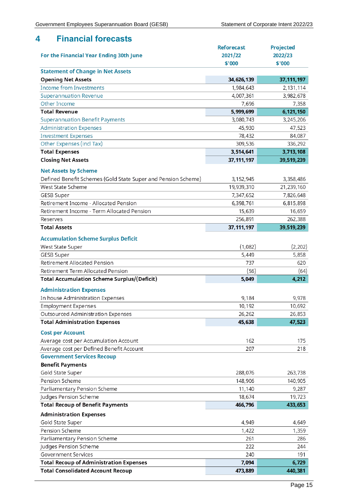# <span id="page-15-0"></span>**4 Financial forecasts**

|                                                               | <b>Reforecast</b> | <b>Projected</b> |
|---------------------------------------------------------------|-------------------|------------------|
| For the Financial Year Ending 30th June                       | 2021/22           | 2022/23          |
|                                                               | \$'000            | \$'000           |
| <b>Statement of Change in Net Assets</b>                      |                   |                  |
| <b>Opening Net Assets</b>                                     | 34,626,139        | 37, 111, 197     |
| <b>Income from Investments</b>                                | 1,984,643         | 2,131,114        |
| <b>Superannuation Revenue</b>                                 | 4,007,361         | 3,982,678        |
| Other Income                                                  | 7,696             | 7,358            |
| <b>Total Revenue</b>                                          | 5,999,699         | 6,121,150        |
| <b>Superannuation Benefit Payments</b>                        | 3,080,743         | 3,245,206        |
| <b>Administration Expenses</b>                                | 45,930            | 47,523           |
| <b>Investment Expenses</b>                                    | 78,432            | 84,087           |
| Other Expenses (incl Tax)                                     | 309,536           | 336,292          |
| <b>Total Expenses</b>                                         | 3,514,641         | 3,713,108        |
| <b>Closing Net Assets</b>                                     | 37, 111, 197      | 39,519,239       |
| <b>Net Assets by Scheme</b>                                   |                   |                  |
| Defined Benefit Schemes (Gold State Super and Pension Scheme) | 3,152,945         | 3,358,486        |
| West State Scheme                                             | 19,939,310        | 21,239,160       |
| <b>GESB Super</b>                                             | 7,347,652         | 7,826,648        |
| Retirement Income - Allocated Pension                         | 6,398,761         | 6,815,898        |
| Retirement Income - Term Allocated Pension                    | 15,639            | 16,659           |
| Reserves                                                      | 256,891           | 262,388          |
| <b>Total Assets</b>                                           | 37, 111, 197      | 39,519,239       |
| <b>Accumulation Scheme Surplus Deficit</b>                    |                   |                  |
| West State Super                                              | (1,082)           | (2, 202)         |
| GESB Super                                                    | 5,449             | 5,858            |
| <b>Retirement Allocated Pension</b>                           | 737               | 620              |
| Retirement Term Allocated Pension                             | (56)              | (64)             |
| <b>Total Accumulation Scheme Surplus/(Deficit)</b>            | 5,049             | 4,212            |
|                                                               |                   |                  |
| <b>Administration Expenses</b>                                |                   |                  |
| In house Administration Expenses                              | 9,184             | 9,978            |
| <b>Employment Expenses</b>                                    | 10,192            | 10,692           |
| Outsourced Administration Expenses                            | 26,262            | 26,853           |
| <b>Total Administration Expenses</b>                          | 45,638            | 47,523           |
| <b>Cost per Account</b>                                       |                   |                  |
| Average cost per Accumulation Account                         | 162               | 175              |
| Average cost per Defined Benefit Account                      | 207               | 218              |
| <b>Government Services Recoup</b>                             |                   |                  |
| <b>Benefit Payments</b>                                       |                   |                  |
| Gold State Super                                              | 288,076           | 263,738          |
| Pension Scheme                                                | 148,906           | 140,905          |
| Parliamentary Pension Scheme                                  | 11,140            | 9,287            |
| Judges Pension Scheme                                         | 18,674            | 19,723           |
| <b>Total Recoup of Benefit Payments</b>                       | 466,796           | 433,653          |
| <b>Administration Expenses</b>                                |                   |                  |
| Gold State Super                                              | 4,949             | 4,649            |
| Pension Scheme                                                | 1,422             | 1,359            |
| Parliamentary Pension Scheme                                  | 261               | 286              |
| Judges Pension Scheme                                         | 222               | 244              |
| <b>Government Services</b>                                    | 240               | 191              |
| <b>Total Recoup of Administration Expenses</b>                | 7,094             | 6,729            |
| <b>Total Consolidated Account Recoup</b>                      | 473,889           | 440,381          |